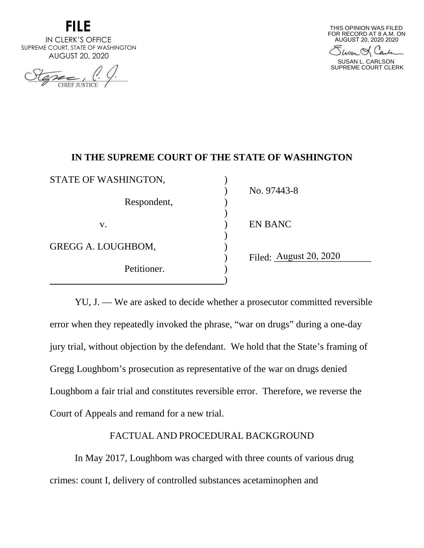

IN CLERK'S OFFICE SUPREME COURT, STATE OF WASHINGTON AUGUST 20, 2020

CHIEF JUSTIC



Show & Carl

SUSAN L. CARLSON SUPREME COURT CLERK

## **IN THE SUPREME COURT OF THE STATE OF WASHINGTON**

| STATE OF WASHINGTON, |                        |
|----------------------|------------------------|
| Respondent,          | No. 97443-8            |
| V.                   | <b>EN BANC</b>         |
| GREGG A. LOUGHBOM,   |                        |
| Petitioner.          | Filed: August 20, 2020 |

YU, J. — We are asked to decide whether a prosecutor committed reversible error when they repeatedly invoked the phrase, "war on drugs" during a one-day jury trial, without objection by the defendant. We hold that the State's framing of Gregg Loughbom's prosecution as representative of the war on drugs denied Loughbom a fair trial and constitutes reversible error. Therefore, we reverse the Court of Appeals and remand for a new trial.

## FACTUAL AND PROCEDURAL BACKGROUND

In May 2017, Loughbom was charged with three counts of various drug crimes: count I, delivery of controlled substances acetaminophen and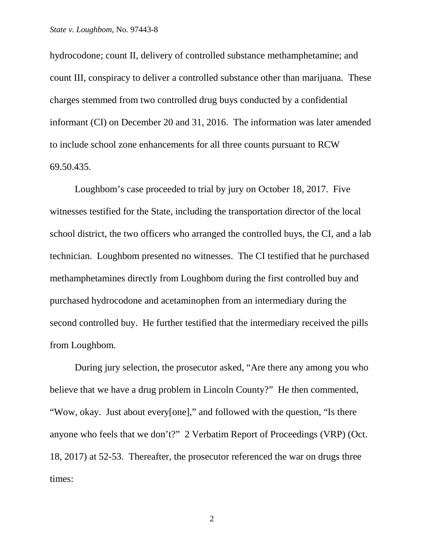hydrocodone; count II, delivery of controlled substance methamphetamine; and count III, conspiracy to deliver a controlled substance other than marijuana. These charges stemmed from two controlled drug buys conducted by a confidential informant (CI) on December 20 and 31, 2016. The information was later amended to include school zone enhancements for all three counts pursuant to RCW 69.50.435.

Loughbom's case proceeded to trial by jury on October 18, 2017. Five witnesses testified for the State, including the transportation director of the local school district, the two officers who arranged the controlled buys, the CI, and a lab technician. Loughbom presented no witnesses. The CI testified that he purchased methamphetamines directly from Loughbom during the first controlled buy and purchased hydrocodone and acetaminophen from an intermediary during the second controlled buy. He further testified that the intermediary received the pills from Loughbom.

During jury selection, the prosecutor asked, "Are there any among you who believe that we have a drug problem in Lincoln County?" He then commented, "Wow, okay. Just about every[one]," and followed with the question, "Is there anyone who feels that we don't?" 2 Verbatim Report of Proceedings (VRP) (Oct. 18, 2017) at 52-53. Thereafter, the prosecutor referenced the war on drugs three times: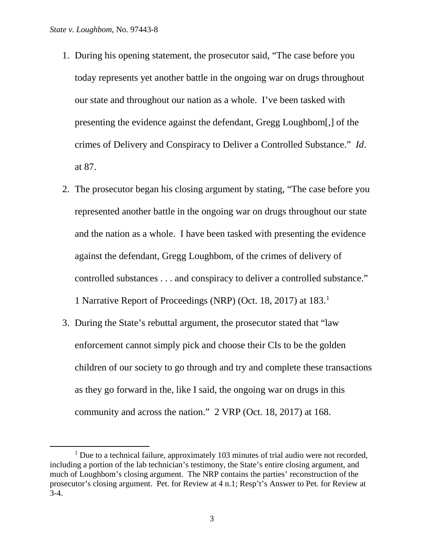- 1. During his opening statement, the prosecutor said, "The case before you today represents yet another battle in the ongoing war on drugs throughout our state and throughout our nation as a whole. I've been tasked with presenting the evidence against the defendant, Gregg Loughbom[,] of the crimes of Delivery and Conspiracy to Deliver a Controlled Substance." *Id*. at 87.
- 2. The prosecutor began his closing argument by stating, "The case before you represented another battle in the ongoing war on drugs throughout our state and the nation as a whole. I have been tasked with presenting the evidence against the defendant, Gregg Loughbom, of the crimes of delivery of controlled substances . . . and conspiracy to deliver a controlled substance." 1 Narrative Report of Proceedings (NRP) (Oct. 18, 2017) at 183.[1](#page-2-0)
- 3. During the State's rebuttal argument, the prosecutor stated that "law enforcement cannot simply pick and choose their CIs to be the golden children of our society to go through and try and complete these transactions as they go forward in the, like I said, the ongoing war on drugs in this community and across the nation." 2 VRP (Oct. 18, 2017) at 168.

<span id="page-2-0"></span><sup>&</sup>lt;sup>1</sup> Due to a technical failure, approximately 103 minutes of trial audio were not recorded, including a portion of the lab technician's testimony, the State's entire closing argument, and much of Loughbom's closing argument. The NRP contains the parties' reconstruction of the prosecutor's closing argument. Pet. for Review at 4 n.1; Resp't's Answer to Pet. for Review at 3-4.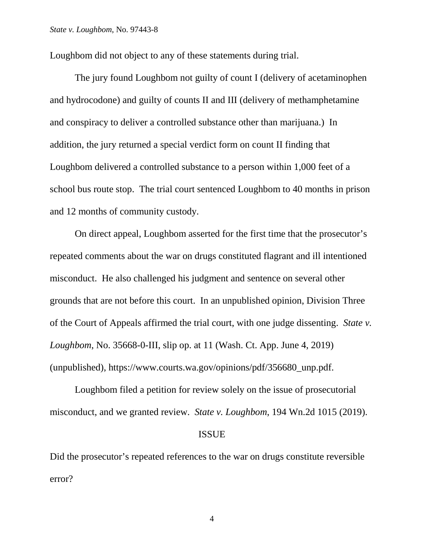Loughbom did not object to any of these statements during trial.

The jury found Loughbom not guilty of count I (delivery of acetaminophen and hydrocodone) and guilty of counts II and III (delivery of methamphetamine and conspiracy to deliver a controlled substance other than marijuana.) In addition, the jury returned a special verdict form on count II finding that Loughbom delivered a controlled substance to a person within 1,000 feet of a school bus route stop. The trial court sentenced Loughbom to 40 months in prison and 12 months of community custody.

On direct appeal, Loughbom asserted for the first time that the prosecutor's repeated comments about the war on drugs constituted flagrant and ill intentioned misconduct. He also challenged his judgment and sentence on several other grounds that are not before this court. In an unpublished opinion, Division Three of the Court of Appeals affirmed the trial court, with one judge dissenting. *State v. Loughbom*, No. 35668-0-III, slip op. at 11 (Wash. Ct. App. June 4, 2019) (unpublished), https://www.courts.wa.gov/opinions/pdf/356680\_unp.pdf.

Loughbom filed a petition for review solely on the issue of prosecutorial misconduct, and we granted review. *State v. Loughbom*, 194 Wn.2d 1015 (2019).

### ISSUE

Did the prosecutor's repeated references to the war on drugs constitute reversible error?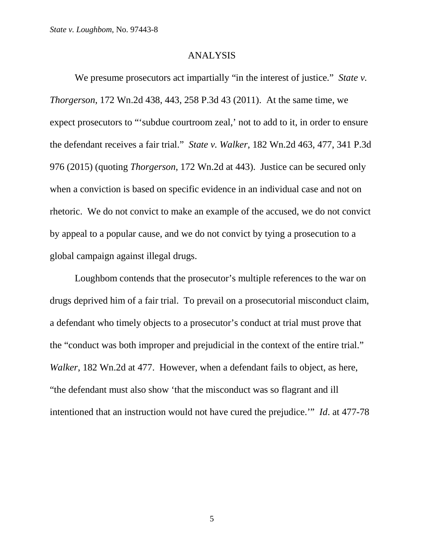#### ANALYSIS

We presume prosecutors act impartially "in the interest of justice." *State v. Thorgerson*, 172 Wn.2d 438, 443, 258 P.3d 43 (2011). At the same time, we expect prosecutors to "'subdue courtroom zeal,' not to add to it, in order to ensure the defendant receives a fair trial." *State v. Walker*, 182 Wn.2d 463, 477, 341 P.3d 976 (2015) (quoting *Thorgerson*, 172 Wn.2d at 443). Justice can be secured only when a conviction is based on specific evidence in an individual case and not on rhetoric. We do not convict to make an example of the accused, we do not convict by appeal to a popular cause, and we do not convict by tying a prosecution to a global campaign against illegal drugs.

Loughbom contends that the prosecutor's multiple references to the war on drugs deprived him of a fair trial. To prevail on a prosecutorial misconduct claim, a defendant who timely objects to a prosecutor's conduct at trial must prove that the "conduct was both improper and prejudicial in the context of the entire trial." *Walker*, 182 Wn.2d at 477. However, when a defendant fails to object, as here, "the defendant must also show 'that the misconduct was so flagrant and ill intentioned that an instruction would not have cured the prejudice.'" *Id*. at 477-78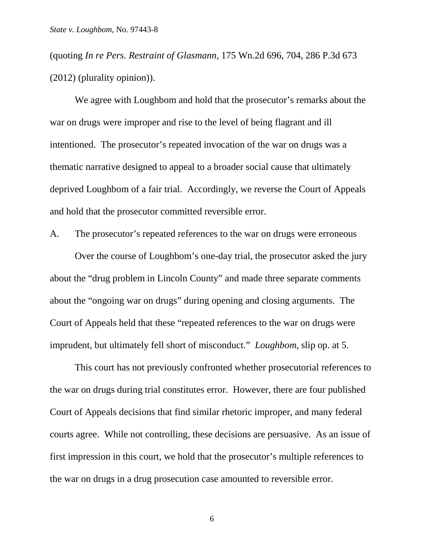(quoting *In re Pers. Restraint of Glasmann*, 175 Wn.2d 696, 704, 286 P.3d 673 (2012) (plurality opinion)).

We agree with Loughbom and hold that the prosecutor's remarks about the war on drugs were improper and rise to the level of being flagrant and ill intentioned. The prosecutor's repeated invocation of the war on drugs was a thematic narrative designed to appeal to a broader social cause that ultimately deprived Loughbom of a fair trial. Accordingly, we reverse the Court of Appeals and hold that the prosecutor committed reversible error.

A. The prosecutor's repeated references to the war on drugs were erroneous

Over the course of Loughbom's one-day trial, the prosecutor asked the jury about the "drug problem in Lincoln County" and made three separate comments about the "ongoing war on drugs" during opening and closing arguments. The Court of Appeals held that these "repeated references to the war on drugs were imprudent, but ultimately fell short of misconduct." *Loughbom*, slip op. at 5.

This court has not previously confronted whether prosecutorial references to the war on drugs during trial constitutes error. However, there are four published Court of Appeals decisions that find similar rhetoric improper, and many federal courts agree. While not controlling, these decisions are persuasive. As an issue of first impression in this court, we hold that the prosecutor's multiple references to the war on drugs in a drug prosecution case amounted to reversible error.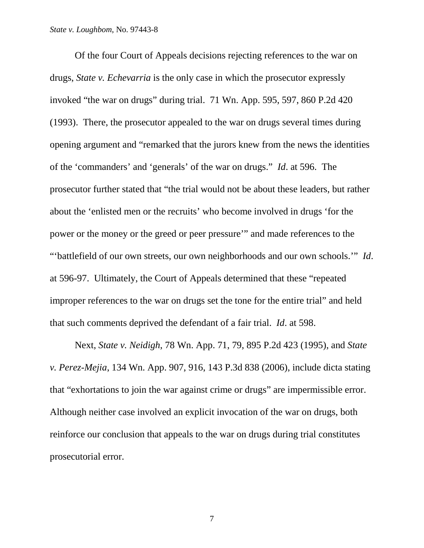#### *State v. Loughbom*, No. 97443-8

Of the four Court of Appeals decisions rejecting references to the war on drugs, *State v. Echevarria* is the only case in which the prosecutor expressly invoked "the war on drugs" during trial. 71 Wn. App. 595, 597, 860 P.2d 420 (1993). There, the prosecutor appealed to the war on drugs several times during opening argument and "remarked that the jurors knew from the news the identities of the 'commanders' and 'generals' of the war on drugs." *Id*. at 596. The prosecutor further stated that "the trial would not be about these leaders, but rather about the 'enlisted men or the recruits' who become involved in drugs 'for the power or the money or the greed or peer pressure'" and made references to the "'battlefield of our own streets, our own neighborhoods and our own schools.'" *Id*. at 596-97. Ultimately, the Court of Appeals determined that these "repeated improper references to the war on drugs set the tone for the entire trial" and held that such comments deprived the defendant of a fair trial. *Id*. at 598.

Next, *State v. Neidigh*, 78 Wn. App. 71, 79, 895 P.2d 423 (1995), and *State v. Perez-Mejia*, 134 Wn. App. 907, 916, 143 P.3d 838 (2006), include dicta stating that "exhortations to join the war against crime or drugs" are impermissible error. Although neither case involved an explicit invocation of the war on drugs, both reinforce our conclusion that appeals to the war on drugs during trial constitutes prosecutorial error.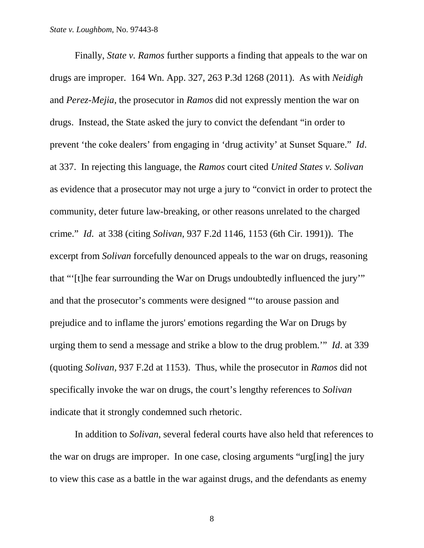Finally, *State v. Ramos* further supports a finding that appeals to the war on drugs are improper. 164 Wn. App. 327, 263 P.3d 1268 (2011). As with *Neidigh* and *Perez-Mejia*, the prosecutor in *Ramos* did not expressly mention the war on drugs. Instead, the State asked the jury to convict the defendant "in order to prevent 'the coke dealers' from engaging in 'drug activity' at Sunset Square." *Id*. at 337. In rejecting this language, the *Ramos* court cited *United States v. Solivan* as evidence that a prosecutor may not urge a jury to "convict in order to protect the community, deter future law-breaking, or other reasons unrelated to the charged crime." *Id*. at 338 (citing *Solivan*, 937 F.2d 1146, 1153 (6th Cir. 1991)). The excerpt from *Solivan* forcefully denounced appeals to the war on drugs, reasoning that "'[t]he fear surrounding the War on Drugs undoubtedly influenced the jury'" and that the prosecutor's comments were designed "'to arouse passion and prejudice and to inflame the jurors' emotions regarding the War on Drugs by urging them to send a message and strike a blow to the drug problem.'" *Id*. at 339 (quoting *Solivan*, 937 F.2d at 1153). Thus, while the prosecutor in *Ramos* did not specifically invoke the war on drugs, the court's lengthy references to *Solivan* indicate that it strongly condemned such rhetoric.

In addition to *Solivan*, several federal courts have also held that references to the war on drugs are improper. In one case, closing arguments "urg[ing] the jury to view this case as a battle in the war against drugs, and the defendants as enemy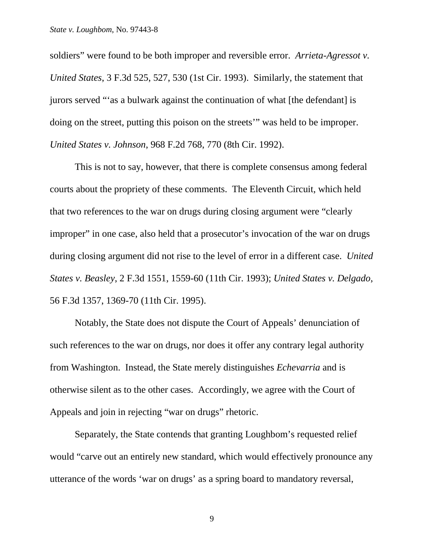soldiers" were found to be both improper and reversible error. *Arrieta-Agressot v. United States*, 3 F.3d 525, 527, 530 (1st Cir. 1993). Similarly, the statement that jurors served "'as a bulwark against the continuation of what [the defendant] is doing on the street, putting this poison on the streets'" was held to be improper. *United States v. Johnson*, 968 F.2d 768, 770 (8th Cir. 1992).

This is not to say, however, that there is complete consensus among federal courts about the propriety of these comments. The Eleventh Circuit, which held that two references to the war on drugs during closing argument were "clearly improper" in one case, also held that a prosecutor's invocation of the war on drugs during closing argument did not rise to the level of error in a different case. *United States v. Beasley*, 2 F.3d 1551, 1559-60 (11th Cir. 1993); *United States v. Delgado*, 56 F.3d 1357, 1369-70 (11th Cir. 1995).

Notably, the State does not dispute the Court of Appeals' denunciation of such references to the war on drugs, nor does it offer any contrary legal authority from Washington. Instead, the State merely distinguishes *Echevarria* and is otherwise silent as to the other cases. Accordingly, we agree with the Court of Appeals and join in rejecting "war on drugs" rhetoric.

Separately, the State contends that granting Loughbom's requested relief would "carve out an entirely new standard, which would effectively pronounce any utterance of the words 'war on drugs' as a spring board to mandatory reversal,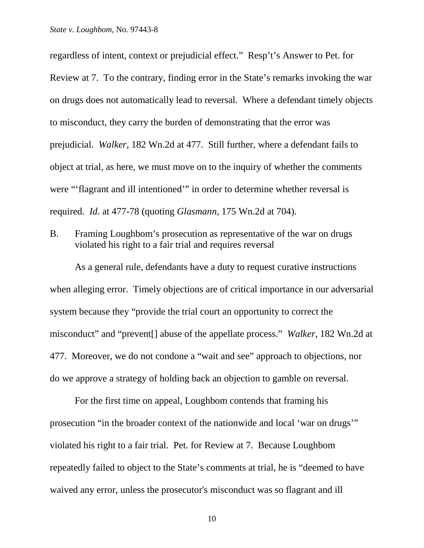regardless of intent, context or prejudicial effect." Resp't's Answer to Pet. for Review at 7. To the contrary, finding error in the State's remarks invoking the war on drugs does not automatically lead to reversal. Where a defendant timely objects to misconduct, they carry the burden of demonstrating that the error was prejudicial. *Walker*, 182 Wn.2d at 477. Still further, where a defendant fails to object at trial, as here, we must move on to the inquiry of whether the comments were "'flagrant and ill intentioned'" in order to determine whether reversal is required. *Id*. at 477-78 (quoting *Glasmann*, 175 Wn.2d at 704).

B. Framing Loughbom's prosecution as representative of the war on drugs violated his right to a fair trial and requires reversal

As a general rule, defendants have a duty to request curative instructions when alleging error. Timely objections are of critical importance in our adversarial system because they "provide the trial court an opportunity to correct the misconduct" and "prevent[] abuse of the appellate process." *Walker*, 182 Wn.2d at 477. Moreover, we do not condone a "wait and see" approach to objections, nor do we approve a strategy of holding back an objection to gamble on reversal.

For the first time on appeal, Loughbom contends that framing his prosecution "in the broader context of the nationwide and local 'war on drugs'" violated his right to a fair trial. Pet. for Review at 7. Because Loughbom repeatedly failed to object to the State's comments at trial, he is "deemed to have waived any error, unless the prosecutor's misconduct was so flagrant and ill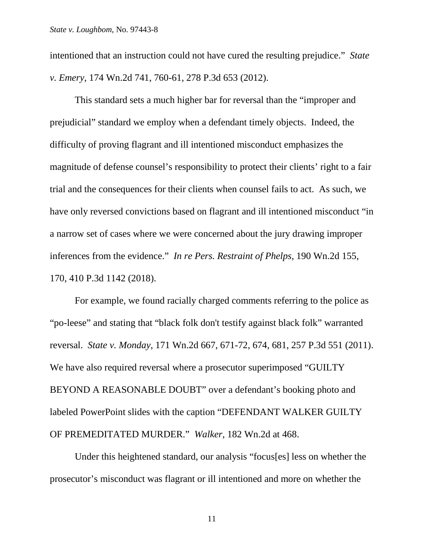intentioned that an instruction could not have cured the resulting prejudice." *State v. Emery*, 174 Wn.2d 741, 760-61, 278 P.3d 653 (2012).

This standard sets a much higher bar for reversal than the "improper and prejudicial" standard we employ when a defendant timely objects. Indeed, the difficulty of proving flagrant and ill intentioned misconduct emphasizes the magnitude of defense counsel's responsibility to protect their clients' right to a fair trial and the consequences for their clients when counsel fails to act. As such, we have only reversed convictions based on flagrant and ill intentioned misconduct "in a narrow set of cases where we were concerned about the jury drawing improper inferences from the evidence." *In re Pers. Restraint of Phelps*, 190 Wn.2d 155, 170, 410 P.3d 1142 (2018).

For example, we found racially charged comments referring to the police as "po-leese" and stating that "black folk don't testify against black folk" warranted reversal. *State v. Monday*, 171 Wn.2d 667, 671-72, 674, 681, 257 P.3d 551 (2011). We have also required reversal where a prosecutor superimposed "GUILTY BEYOND A REASONABLE DOUBT" over a defendant's booking photo and labeled PowerPoint slides with the caption "DEFENDANT WALKER GUILTY OF PREMEDITATED MURDER." *Walker*, 182 Wn.2d at 468.

Under this heightened standard, our analysis "focus[es] less on whether the prosecutor's misconduct was flagrant or ill intentioned and more on whether the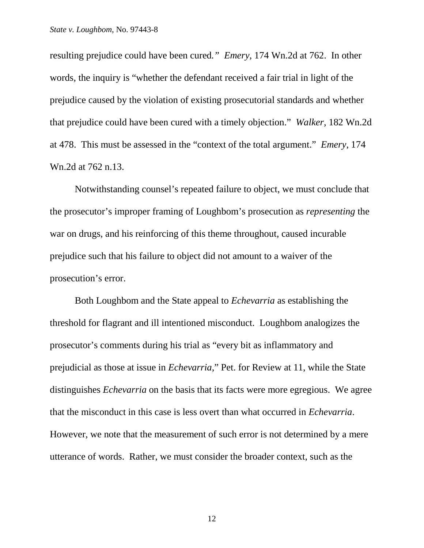resulting prejudice could have been cured*." Emery*, 174 Wn.2d at 762. In other words, the inquiry is "whether the defendant received a fair trial in light of the prejudice caused by the violation of existing prosecutorial standards and whether that prejudice could have been cured with a timely objection." *Walker*, 182 Wn.2d at 478. This must be assessed in the "context of the total argument." *Emery*, 174 Wn.2d at 762 n.13.

Notwithstanding counsel's repeated failure to object, we must conclude that the prosecutor's improper framing of Loughbom's prosecution as *representing* the war on drugs, and his reinforcing of this theme throughout, caused incurable prejudice such that his failure to object did not amount to a waiver of the prosecution's error.

Both Loughbom and the State appeal to *Echevarria* as establishing the threshold for flagrant and ill intentioned misconduct. Loughbom analogizes the prosecutor's comments during his trial as "every bit as inflammatory and prejudicial as those at issue in *Echevarria*," Pet. for Review at 11, while the State distinguishes *Echevarria* on the basis that its facts were more egregious. We agree that the misconduct in this case is less overt than what occurred in *Echevarria*. However, we note that the measurement of such error is not determined by a mere utterance of words. Rather, we must consider the broader context, such as the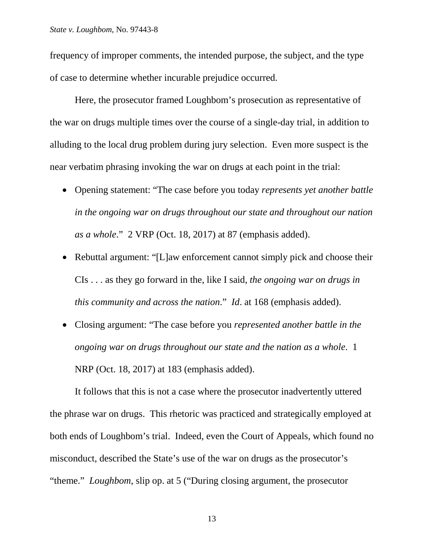frequency of improper comments, the intended purpose, the subject, and the type of case to determine whether incurable prejudice occurred.

Here, the prosecutor framed Loughbom's prosecution as representative of the war on drugs multiple times over the course of a single-day trial, in addition to alluding to the local drug problem during jury selection. Even more suspect is the near verbatim phrasing invoking the war on drugs at each point in the trial:

- Opening statement: "The case before you today *represents yet another battle in the ongoing war on drugs throughout our state and throughout our nation as a whole*." 2 VRP (Oct. 18, 2017) at 87 (emphasis added).
- Rebuttal argument: "[L]aw enforcement cannot simply pick and choose their CIs . . . as they go forward in the, like I said, *the ongoing war on drugs in this community and across the nation*." *Id*. at 168 (emphasis added).
- Closing argument: "The case before you *represented another battle in the ongoing war on drugs throughout our state and the nation as a whole*. 1 NRP (Oct. 18, 2017) at 183 (emphasis added).

It follows that this is not a case where the prosecutor inadvertently uttered the phrase war on drugs. This rhetoric was practiced and strategically employed at both ends of Loughbom's trial. Indeed, even the Court of Appeals, which found no misconduct, described the State's use of the war on drugs as the prosecutor's "theme." *Loughbom*, slip op. at 5 ("During closing argument, the prosecutor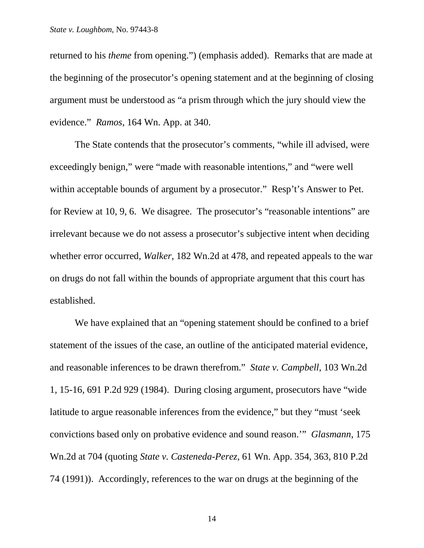returned to his *theme* from opening.") (emphasis added). Remarks that are made at the beginning of the prosecutor's opening statement and at the beginning of closing argument must be understood as "a prism through which the jury should view the evidence." *Ramos*, 164 Wn. App. at 340.

The State contends that the prosecutor's comments, "while ill advised, were exceedingly benign," were "made with reasonable intentions," and "were well within acceptable bounds of argument by a prosecutor." Resp't's Answer to Pet. for Review at 10, 9, 6. We disagree. The prosecutor's "reasonable intentions" are irrelevant because we do not assess a prosecutor's subjective intent when deciding whether error occurred, *Walker*, 182 Wn.2d at 478, and repeated appeals to the war on drugs do not fall within the bounds of appropriate argument that this court has established.

We have explained that an "opening statement should be confined to a brief statement of the issues of the case, an outline of the anticipated material evidence, and reasonable inferences to be drawn therefrom." *State v. Campbell*, 103 Wn.2d 1, 15-16, 691 P.2d 929 (1984). During closing argument, prosecutors have "wide latitude to argue reasonable inferences from the evidence," but they "must 'seek convictions based only on probative evidence and sound reason.'" *Glasmann*, 175 Wn.2d at 704 (quoting *State v. Casteneda-Perez*, 61 Wn. App. 354, 363, 810 P.2d 74 (1991)). Accordingly, references to the war on drugs at the beginning of the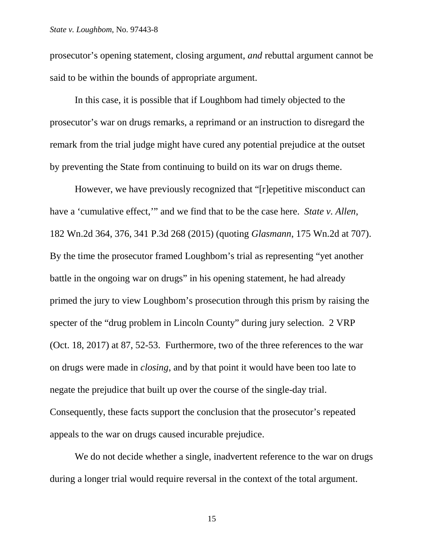prosecutor's opening statement, closing argument, *and* rebuttal argument cannot be said to be within the bounds of appropriate argument.

In this case, it is possible that if Loughbom had timely objected to the prosecutor's war on drugs remarks, a reprimand or an instruction to disregard the remark from the trial judge might have cured any potential prejudice at the outset by preventing the State from continuing to build on its war on drugs theme.

However, we have previously recognized that "[r]epetitive misconduct can have a 'cumulative effect,'" and we find that to be the case here. *State v. Allen*, 182 Wn.2d 364, 376, 341 P.3d 268 (2015) (quoting *Glasmann*, 175 Wn.2d at 707). By the time the prosecutor framed Loughbom's trial as representing "yet another battle in the ongoing war on drugs" in his opening statement, he had already primed the jury to view Loughbom's prosecution through this prism by raising the specter of the "drug problem in Lincoln County" during jury selection. 2 VRP (Oct. 18, 2017) at 87, 52-53. Furthermore, two of the three references to the war on drugs were made in *closing*, and by that point it would have been too late to negate the prejudice that built up over the course of the single-day trial. Consequently, these facts support the conclusion that the prosecutor's repeated appeals to the war on drugs caused incurable prejudice.

We do not decide whether a single, inadvertent reference to the war on drugs during a longer trial would require reversal in the context of the total argument.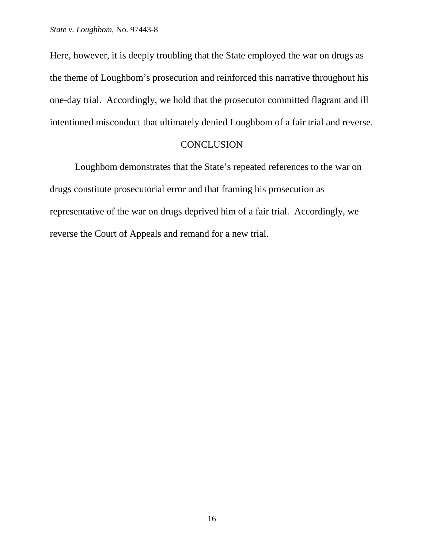Here, however, it is deeply troubling that the State employed the war on drugs as the theme of Loughbom's prosecution and reinforced this narrative throughout his one-day trial. Accordingly, we hold that the prosecutor committed flagrant and ill intentioned misconduct that ultimately denied Loughbom of a fair trial and reverse.

# CONCLUSION

Loughbom demonstrates that the State's repeated references to the war on drugs constitute prosecutorial error and that framing his prosecution as representative of the war on drugs deprived him of a fair trial. Accordingly, we reverse the Court of Appeals and remand for a new trial.